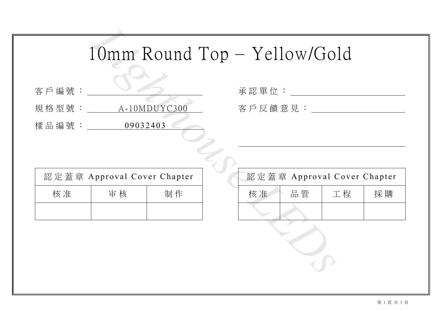|  | 客戶編號 |  |  |
|--|------|--|--|

| 承認單位:   |  |
|---------|--|
| 客戶反饋意見: |  |

|                          | $10mm$ Round Top $-$ Yellow/Go |    |               |                 |  |  |  |
|--------------------------|--------------------------------|----|---------------|-----------------|--|--|--|
| 客戶編號:                    |                                |    | 承認單位:         |                 |  |  |  |
| 規格型號: _____ A-10MDUYC300 |                                |    | 客 戶 反 饋 意 見 : |                 |  |  |  |
| 樣品編號: ________ 09032403  |                                |    |               |                 |  |  |  |
|                          |                                |    |               |                 |  |  |  |
|                          |                                |    |               |                 |  |  |  |
|                          | 認定蓋章 Approval Cover Chapter    |    |               | 認定蓋章 Approval 0 |  |  |  |
| 核准                       | 审核                             | 制作 | 核准            | 品管              |  |  |  |
|                          |                                |    |               |                 |  |  |  |
|                          |                                |    |               |                 |  |  |  |
|                          |                                |    |               |                 |  |  |  |

| 認定蓋章 Approval Cover Chapter |    |    |    | 認定蓋章 Approval Cover Chapter |    |    |  |
|-----------------------------|----|----|----|-----------------------------|----|----|--|
| 核准                          | 审核 | 制作 | 核准 | 品管                          | 工程 | 採購 |  |
|                             |    |    |    |                             |    |    |  |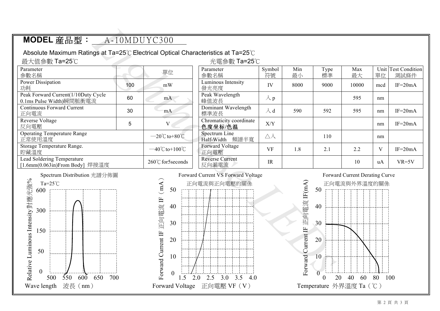| MODEL 産品型:                                                                                                                           |     | A-10MDUYC300                                                                         |                                                    |                    |                                   |                                              |                                                |     |                             |
|--------------------------------------------------------------------------------------------------------------------------------------|-----|--------------------------------------------------------------------------------------|----------------------------------------------------|--------------------|-----------------------------------|----------------------------------------------|------------------------------------------------|-----|-----------------------------|
| Absolute Maximum Ratings at Ta=25°C Electrical Optical Characteristics at Ta=25°C                                                    |     |                                                                                      |                                                    |                    |                                   |                                              |                                                |     |                             |
| 最大值參數 Ta=25℃                                                                                                                         |     |                                                                                      | 光電參數 Ta=25℃                                        |                    |                                   |                                              |                                                |     |                             |
| Parameter<br>參數名稱                                                                                                                    |     | 單位                                                                                   | Parameter<br>參數名稱                                  | Symbol<br>符號       | Min<br>最小                         | Type<br>標準                                   | Max<br>最大                                      | 單位  | Unit Test Condition<br>測試條件 |
| <b>Power Dissipation</b><br>功耗                                                                                                       | 100 | mW                                                                                   | Luminous Intensity<br>發光亮度                         | IV                 | 8000                              | 9000                                         | 10000                                          | mcd | $IF=20mA$                   |
| Peak Forward Current(1/10Duty Cycle<br>0.1ms Pulse Width)瞬間脈衝電流                                                                      | 60  | mA                                                                                   | Peak Wavelength<br>峰值波長                            | $\lambda$ p        |                                   |                                              | 595                                            | nm  |                             |
| Continuous Forward Current<br>正向電流                                                                                                   | 30  | mA                                                                                   | Dominant Wavelength<br>標準波長                        | $\lambda$ d        | 590                               | 592                                          | 595                                            | nm  | $IF=20mA$                   |
| Reverse Voltage<br>反向電壓                                                                                                              | 5   | $\mathbf{V}$                                                                         | Chromaticity coordinate<br>色度坐标/色温                 | X/Y                |                                   |                                              |                                                | nm  | $IF=20mA$                   |
| <b>Operating Temperature Range</b><br>正常使用溫度                                                                                         |     | $-20^{\circ}$ C to +80 $^{\circ}$ C                                                  | Spectrum Line<br>Half-Width 頻譜半寬                   | $\triangle\lambda$ |                                   | 110                                          |                                                | nm  |                             |
| Storage Temperature Range.<br>貯藏溫度                                                                                                   |     | $-40^{\circ}$ C to + $100^{\circ}$ C                                                 | <b>Forward Voltage</b><br>正向電壓                     | <b>VF</b>          | 1.8                               | 2.1                                          | 2.2                                            | V   | $IF=20mA$                   |
| Lead Soldering Temperature<br>[1.6mm(0.063in)From Body] 焊接溫度                                                                         |     | 260°C for5seconds                                                                    | <b>Reverse Current</b><br>反向漏電流                    | IR                 |                                   |                                              | 10                                             | uA  | $VR=5V$                     |
| Spectrum Distribution 光譜分佈圖<br>elative Luminous Intensity 對應光強%<br>Ta= $25^{\circ}$ C<br>600<br>300<br>150<br>50<br>$\boldsymbol{0}$ |     | (mA)<br>50<br>正向電流 IF<br>40<br>30<br>orward Current IF<br>20<br>10<br>$\overline{0}$ | Forward Current VS Forward Voltage<br>正向電流與正向電壓的關係 |                    | 正向電流 IF(mA)<br>Forward Current IF | 50<br>40<br>30<br>20<br>10<br>$\overline{0}$ | Forward Current Derating Curve<br>正向電流與外界溫度的關係 |     |                             |

## 500 550 600 650 700 1.5 2.0 2.5 3.0 3.5 4.0 0 20 40 60 80 100 We see the set of the set of the set of the set of the set of the set of the set of the set of the set of the set of the set of the set of the set of the set of the set of the set of the set of the set of the set of the s 600 300 150 50 0



## 50 40 30 20 10 Forward Current IF 0 正向電流 IF(mA)